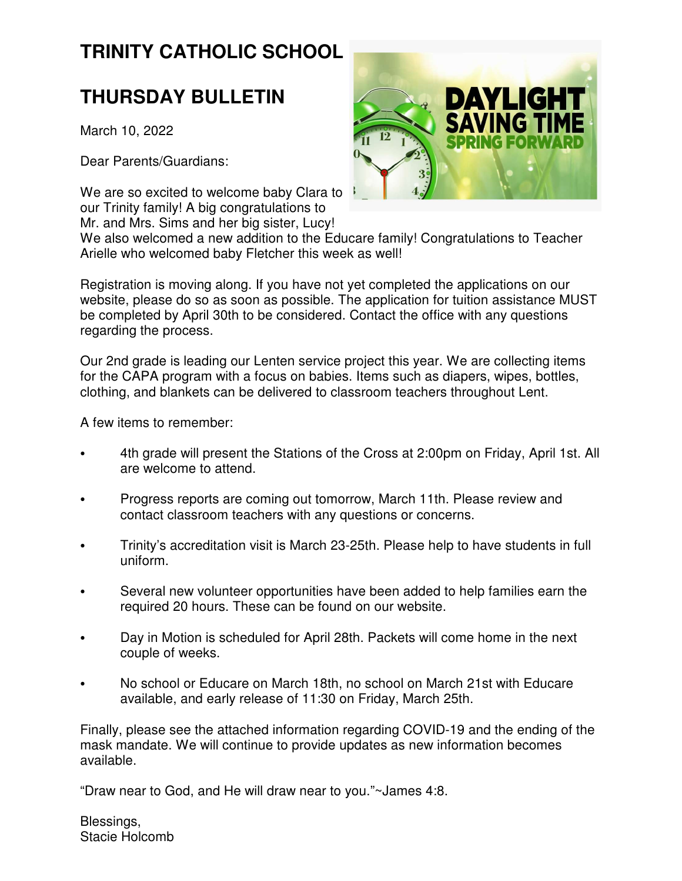# **TRINITY CATHOLIC SCHOOL**

## **THURSDAY BULLETIN**

March 10, 2022

Dear Parents/Guardians:

We are so excited to welcome baby Clara to our Trinity family! A big congratulations to Mr. and Mrs. Sims and her big sister, Lucy!



We also welcomed a new addition to the Educare family! Congratulations to Teacher Arielle who welcomed baby Fletcher this week as well!

Registration is moving along. If you have not yet completed the applications on our website, please do so as soon as possible. The application for tuition assistance MUST be completed by April 30th to be considered. Contact the office with any questions regarding the process.

Our 2nd grade is leading our Lenten service project this year. We are collecting items for the CAPA program with a focus on babies. Items such as diapers, wipes, bottles, clothing, and blankets can be delivered to classroom teachers throughout Lent.

A few items to remember:

- 4th grade will present the Stations of the Cross at 2:00pm on Friday, April 1st. All are welcome to attend.
- Progress reports are coming out tomorrow, March 11th. Please review and contact classroom teachers with any questions or concerns.
- Trinity's accreditation visit is March 23-25th. Please help to have students in full uniform.
- Several new volunteer opportunities have been added to help families earn the required 20 hours. These can be found on our website.
- Day in Motion is scheduled for April 28th. Packets will come home in the next couple of weeks.
- C No school or Educare on March 18th, no school on March 21st with Educare available, and early release of 11:30 on Friday, March 25th.

Finally, please see the attached information regarding COVID-19 and the ending of the mask mandate. We will continue to provide updates as new information becomes available.

"Draw near to God, and He will draw near to you."~James 4:8.

Blessings, Stacie Holcomb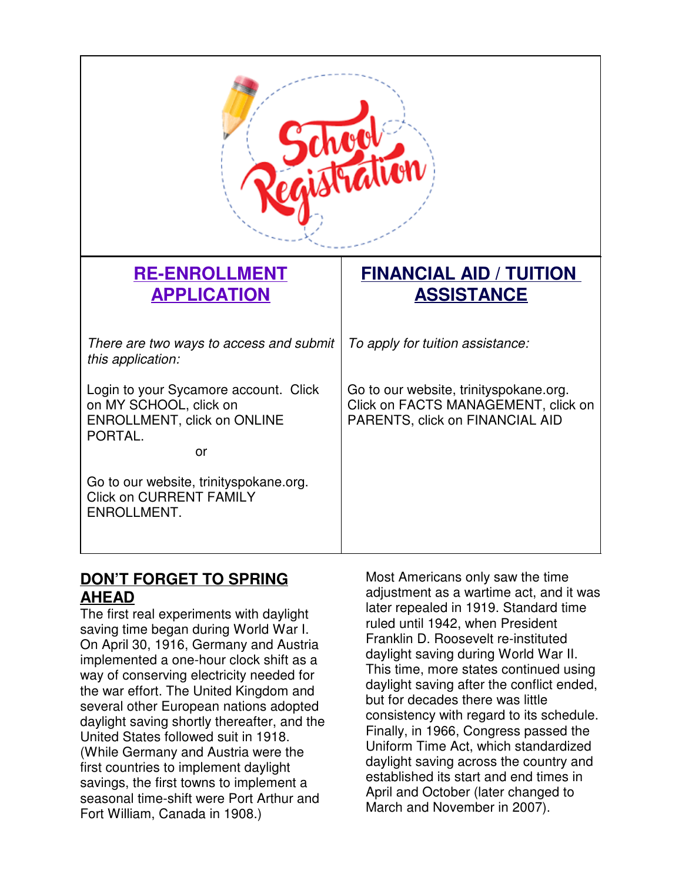| <b>RE-ENROLLMENT</b><br><b>APPLICATION</b>                                                                      | <b>FINANCIAL AID / TUITION</b><br><b>ASSISTANCE</b>                                                              |
|-----------------------------------------------------------------------------------------------------------------|------------------------------------------------------------------------------------------------------------------|
| There are two ways to access and submit<br>this application:                                                    | To apply for tuition assistance:                                                                                 |
| Login to your Sycamore account. Click<br>on MY SCHOOL, click on<br>ENROLLMENT, click on ONLINE<br>PORTAL.<br>or | Go to our website, trinityspokane.org.<br>Click on FACTS MANAGEMENT, click on<br>PARENTS, click on FINANCIAL AID |
| Go to our website, trinityspokane.org.<br><b>Click on CURRENT FAMILY</b><br>ENROLLMENT.                         |                                                                                                                  |

#### **DON'T FORGET TO SPRING AHEAD**

The first real experiments with daylight saving time began during World War I. On April 30, 1916, Germany and Austria implemented a one-hour clock shift as a way of conserving electricity needed for the war effort. The United Kingdom and several other European nations adopted daylight saving shortly thereafter, and the United States followed suit in 1918. (While Germany and Austria were the first countries to implement daylight savings, the first towns to implement a seasonal time-shift were Port Arthur and Fort William, Canada in 1908.)

Most Americans only saw the time adjustment as a wartime act, and it was later repealed in 1919. Standard time ruled until 1942, when President Franklin D. Roosevelt re-instituted daylight saving during World War II. This time, more states continued using daylight saving after the conflict ended, but for decades there was little consistency with regard to its schedule. Finally, in 1966, Congress passed the Uniform Time Act, which standardized daylight saving across the country and established its start and end times in April and October (later changed to March and November in 2007).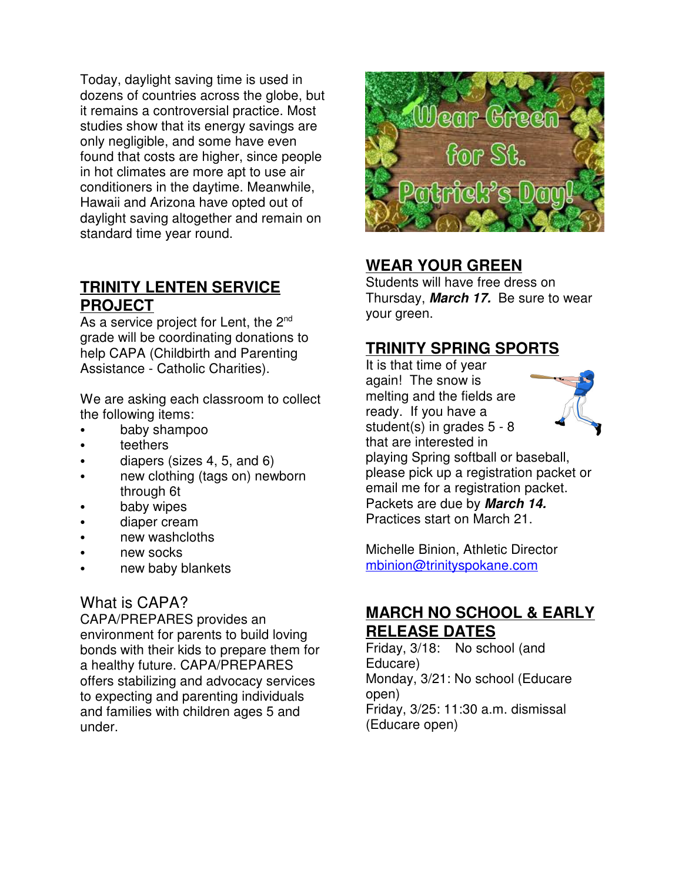Today, daylight saving time is used in dozens of countries across the globe, but it remains a controversial practice. Most studies show that its energy savings are only negligible, and some have even found that costs are higher, since people in hot climates are more apt to use air conditioners in the daytime. Meanwhile, Hawaii and Arizona have opted out of daylight saving altogether and remain on standard time year round.

### **TRINITY LENTEN SERVICE PROJECT**

As a service project for Lent, the  $2^{nd}$ grade will be coordinating donations to help CAPA (Childbirth and Parenting Assistance - Catholic Charities).

We are asking each classroom to collect the following items:

- baby shampoo
- teethers
- C diapers (sizes 4, 5, and 6)
- new clothing (tags on) newborn through 6t
- baby wipes
- diaper cream
- new washcloths
- new socks
- new baby blankets

#### What is CAPA?

CAPA/PREPARES provides an environment for parents to build loving bonds with their kids to prepare them for a healthy future. CAPA/PREPARES offers stabilizing and advocacy services to expecting and parenting individuals and families with children ages 5 and under.



## **WEAR YOUR GREEN**

Students will have free dress on Thursday, **March 17.** Be sure to wear your green.

#### **TRINITY SPRING SPORTS**

It is that time of year again! The snow is melting and the fields are ready. If you have a student(s) in grades 5 - 8 that are interested in playing Spring softball or baseball, please pick up a registration packet or email me for a registration packet. Packets are due by **March 14.**  Practices start on March 21.

Michelle Binion, Athletic Director mbinion@trinityspokane.com

## **MARCH NO SCHOOL & EARLY RELEASE DATES**

Friday, 3/18: No school (and Educare) Monday, 3/21: No school (Educare open) Friday, 3/25: 11:30 a.m. dismissal (Educare open)